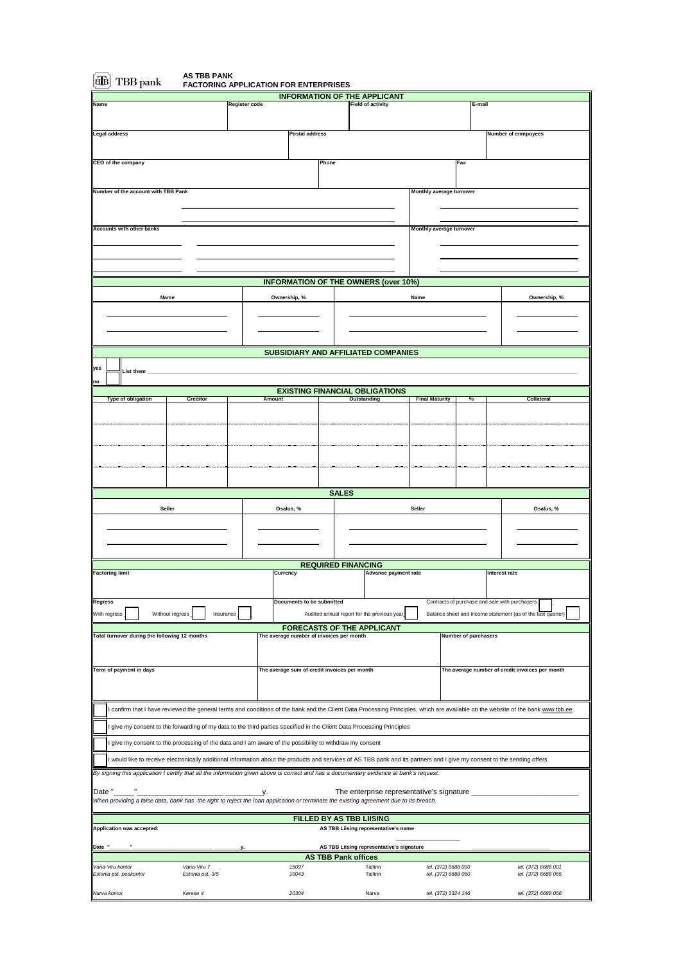| TBB pank                                                                                                                                                                                                                                                                                                                                                                                        | <b>FACTORING APPLICATION FOR ENTERPRISES</b> |               |                                              |                                                |                                                |                      |                                                                                                                                                                                |
|-------------------------------------------------------------------------------------------------------------------------------------------------------------------------------------------------------------------------------------------------------------------------------------------------------------------------------------------------------------------------------------------------|----------------------------------------------|---------------|----------------------------------------------|------------------------------------------------|------------------------------------------------|----------------------|--------------------------------------------------------------------------------------------------------------------------------------------------------------------------------|
|                                                                                                                                                                                                                                                                                                                                                                                                 |                                              |               |                                              | <b>INFORMATION OF THE APPLICANT</b>            |                                                |                      |                                                                                                                                                                                |
| Name                                                                                                                                                                                                                                                                                                                                                                                            |                                              | Register code |                                              | <b>Field of activity</b>                       |                                                | E-mail               |                                                                                                                                                                                |
|                                                                                                                                                                                                                                                                                                                                                                                                 |                                              |               |                                              |                                                |                                                |                      |                                                                                                                                                                                |
| Legal address                                                                                                                                                                                                                                                                                                                                                                                   |                                              |               | Postal address                               |                                                |                                                |                      | Number of enmpoyees                                                                                                                                                            |
|                                                                                                                                                                                                                                                                                                                                                                                                 |                                              |               |                                              |                                                |                                                |                      |                                                                                                                                                                                |
| <b>CEO</b> of the company                                                                                                                                                                                                                                                                                                                                                                       |                                              |               | Phone                                        |                                                | Fax                                            |                      |                                                                                                                                                                                |
|                                                                                                                                                                                                                                                                                                                                                                                                 |                                              |               |                                              |                                                |                                                |                      |                                                                                                                                                                                |
| Number of the account with TBB Pank                                                                                                                                                                                                                                                                                                                                                             |                                              |               |                                              |                                                | Monthly average turnover                       |                      |                                                                                                                                                                                |
|                                                                                                                                                                                                                                                                                                                                                                                                 |                                              |               |                                              |                                                |                                                |                      |                                                                                                                                                                                |
| <b>Accounts with other banks</b>                                                                                                                                                                                                                                                                                                                                                                |                                              |               |                                              |                                                | Monthly average turnover                       |                      |                                                                                                                                                                                |
|                                                                                                                                                                                                                                                                                                                                                                                                 |                                              |               |                                              |                                                |                                                |                      |                                                                                                                                                                                |
|                                                                                                                                                                                                                                                                                                                                                                                                 |                                              |               |                                              |                                                |                                                |                      |                                                                                                                                                                                |
|                                                                                                                                                                                                                                                                                                                                                                                                 |                                              |               |                                              |                                                |                                                |                      |                                                                                                                                                                                |
|                                                                                                                                                                                                                                                                                                                                                                                                 |                                              |               |                                              | <b>INFORMATION OF THE OWNERS (over 10%)</b>    |                                                |                      |                                                                                                                                                                                |
| Name                                                                                                                                                                                                                                                                                                                                                                                            |                                              | Ownership, %  |                                              |                                                | Name                                           |                      | Ownership, %                                                                                                                                                                   |
|                                                                                                                                                                                                                                                                                                                                                                                                 |                                              |               |                                              |                                                |                                                |                      |                                                                                                                                                                                |
|                                                                                                                                                                                                                                                                                                                                                                                                 |                                              |               |                                              |                                                |                                                |                      |                                                                                                                                                                                |
|                                                                                                                                                                                                                                                                                                                                                                                                 |                                              |               |                                              |                                                |                                                |                      |                                                                                                                                                                                |
|                                                                                                                                                                                                                                                                                                                                                                                                 |                                              |               |                                              | <b>SUBSIDIARY AND AFFILIATED COMPANIES</b>     |                                                |                      |                                                                                                                                                                                |
| yes                                                                                                                                                                                                                                                                                                                                                                                             |                                              |               |                                              |                                                |                                                |                      |                                                                                                                                                                                |
| List them<br>no                                                                                                                                                                                                                                                                                                                                                                                 |                                              |               |                                              |                                                |                                                |                      |                                                                                                                                                                                |
|                                                                                                                                                                                                                                                                                                                                                                                                 |                                              |               |                                              | <b>EXISTING FINANCIAL OBLIGATIONS</b>          |                                                |                      |                                                                                                                                                                                |
| Type of obligation                                                                                                                                                                                                                                                                                                                                                                              | <b>Creditor</b>                              | Amount        |                                              | Outstanding                                    | <b>Final Maturity</b>                          | %                    | Collateral                                                                                                                                                                     |
|                                                                                                                                                                                                                                                                                                                                                                                                 |                                              |               |                                              |                                                |                                                |                      |                                                                                                                                                                                |
|                                                                                                                                                                                                                                                                                                                                                                                                 |                                              |               |                                              |                                                |                                                |                      |                                                                                                                                                                                |
|                                                                                                                                                                                                                                                                                                                                                                                                 |                                              |               |                                              |                                                |                                                |                      |                                                                                                                                                                                |
|                                                                                                                                                                                                                                                                                                                                                                                                 |                                              |               |                                              |                                                |                                                |                      |                                                                                                                                                                                |
|                                                                                                                                                                                                                                                                                                                                                                                                 |                                              |               |                                              |                                                |                                                |                      |                                                                                                                                                                                |
|                                                                                                                                                                                                                                                                                                                                                                                                 |                                              |               |                                              |                                                |                                                |                      |                                                                                                                                                                                |
|                                                                                                                                                                                                                                                                                                                                                                                                 |                                              |               | <b>SALES</b>                                 |                                                |                                                |                      |                                                                                                                                                                                |
| Seller                                                                                                                                                                                                                                                                                                                                                                                          |                                              | Osalus, %     |                                              |                                                | Seller                                         |                      | Osalus, %                                                                                                                                                                      |
|                                                                                                                                                                                                                                                                                                                                                                                                 |                                              |               |                                              |                                                |                                                |                      |                                                                                                                                                                                |
|                                                                                                                                                                                                                                                                                                                                                                                                 |                                              |               |                                              |                                                |                                                |                      |                                                                                                                                                                                |
|                                                                                                                                                                                                                                                                                                                                                                                                 |                                              |               |                                              |                                                |                                                |                      |                                                                                                                                                                                |
| <b>Factoring limit</b>                                                                                                                                                                                                                                                                                                                                                                          |                                              | Currency      | <b>REQUIRED FINANCING</b>                    | Advance payment rate                           |                                                |                      | Interest rate                                                                                                                                                                  |
|                                                                                                                                                                                                                                                                                                                                                                                                 |                                              |               |                                              |                                                |                                                |                      |                                                                                                                                                                                |
| Regress                                                                                                                                                                                                                                                                                                                                                                                         |                                              |               |                                              |                                                |                                                |                      |                                                                                                                                                                                |
|                                                                                                                                                                                                                                                                                                                                                                                                 |                                              |               | Documents to be submitted                    |                                                |                                                |                      |                                                                                                                                                                                |
| Without regress                                                                                                                                                                                                                                                                                                                                                                                 | Insurance                                    |               |                                              | Audited annual report for the previous year    | Contracts of purchase and sale with purchasers |                      | Balance sheet and income statement (as of the last quarter)                                                                                                                    |
|                                                                                                                                                                                                                                                                                                                                                                                                 |                                              |               |                                              | <b>FORECASTS OF THE APPLICANT</b>              |                                                |                      |                                                                                                                                                                                |
|                                                                                                                                                                                                                                                                                                                                                                                                 |                                              |               | The average number of invoices per month     |                                                |                                                | Number of purchasers |                                                                                                                                                                                |
|                                                                                                                                                                                                                                                                                                                                                                                                 |                                              |               |                                              |                                                |                                                |                      |                                                                                                                                                                                |
|                                                                                                                                                                                                                                                                                                                                                                                                 |                                              |               | The average sum of credit invoices per month |                                                |                                                |                      | The average number of credit invoices per month                                                                                                                                |
|                                                                                                                                                                                                                                                                                                                                                                                                 |                                              |               |                                              |                                                |                                                |                      |                                                                                                                                                                                |
| Total turnover during the following 12 months<br>Term of payment in days                                                                                                                                                                                                                                                                                                                        |                                              |               |                                              |                                                |                                                |                      |                                                                                                                                                                                |
|                                                                                                                                                                                                                                                                                                                                                                                                 |                                              |               |                                              |                                                |                                                |                      | confirm that I have reviewed the general terms and conditions of the bank and the Client Data Processing Principles, which are available on the website of the bank www.tbb.ee |
|                                                                                                                                                                                                                                                                                                                                                                                                 |                                              |               |                                              |                                                |                                                |                      |                                                                                                                                                                                |
| give my consent to the forwarding of my data to the third parties specified in the Client Data Processing Principles                                                                                                                                                                                                                                                                            |                                              |               |                                              |                                                |                                                |                      |                                                                                                                                                                                |
| give my consent to the processing of the data and I am aware of the possibility to withdraw my consent                                                                                                                                                                                                                                                                                          |                                              |               |                                              |                                                |                                                |                      |                                                                                                                                                                                |
| would like to receive electronically additional information about the products and services of AS TBB pank and its partners and I give my consent to the sending offers                                                                                                                                                                                                                         |                                              |               |                                              |                                                |                                                |                      |                                                                                                                                                                                |
|                                                                                                                                                                                                                                                                                                                                                                                                 |                                              |               |                                              |                                                |                                                |                      |                                                                                                                                                                                |
|                                                                                                                                                                                                                                                                                                                                                                                                 |                                              | _y.           |                                              | The enterprise representative's signature ____ |                                                |                      |                                                                                                                                                                                |
|                                                                                                                                                                                                                                                                                                                                                                                                 |                                              |               |                                              |                                                |                                                |                      |                                                                                                                                                                                |
|                                                                                                                                                                                                                                                                                                                                                                                                 |                                              |               | <b>FILLED BY AS TBB LIISING</b>              |                                                |                                                |                      |                                                                                                                                                                                |
|                                                                                                                                                                                                                                                                                                                                                                                                 |                                              |               |                                              | AS TBB Liising representative's name           |                                                |                      |                                                                                                                                                                                |
|                                                                                                                                                                                                                                                                                                                                                                                                 |                                              | y.            |                                              | AS TBB Liising representative's signature      |                                                |                      |                                                                                                                                                                                |
|                                                                                                                                                                                                                                                                                                                                                                                                 |                                              |               | <b>AS TBB Pank offices</b>                   |                                                |                                                |                      |                                                                                                                                                                                |
| With regress<br>By signing this application I certify that all the information given above is correct and has a documentary evidence at bank's request.<br>Date "<br>When providing a false data, bank has the right to reject the loan application or terminate the existing agreement due to its breach.<br>Application was accepted:<br>Date "<br>Vana-Viru kontor<br>Estonia pst. peakontor | Vana-Viru 7<br>Estonia pst. 3/5              |               | 15097<br>10043                               | Tallinn<br>Tallinn                             | tel. (372) 6688 000<br>tel. (372) 6688 060     |                      | tel. (372) 6688 001<br>tel. (372) 6688 065                                                                                                                                     |
| Narva kontor                                                                                                                                                                                                                                                                                                                                                                                    | Kerese 4                                     |               | 20304                                        | Narva                                          | tel. (372) 3324 146                            |                      | tel. (372) 6688 056                                                                                                                                                            |